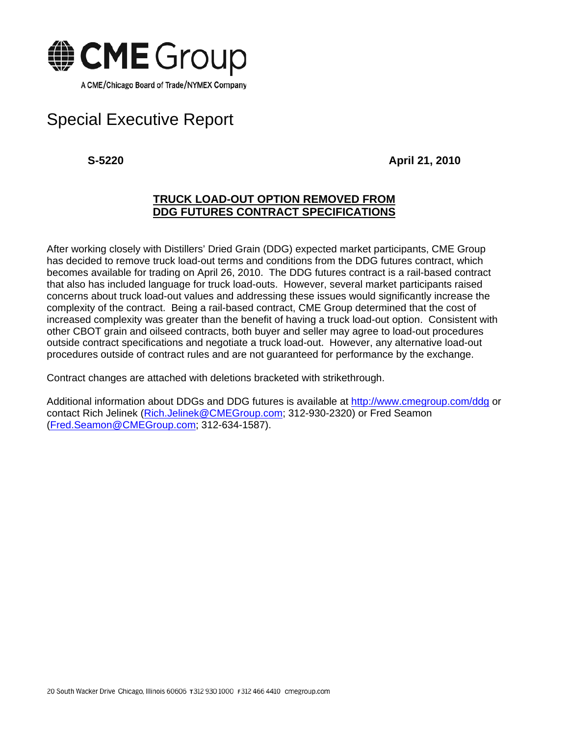

## Special Executive Report

**S-5220 April 21, 2010** 

## **TRUCK LOAD-OUT OPTION REMOVED FROM DDG FUTURES CONTRACT SPECIFICATIONS**

After working closely with Distillers' Dried Grain (DDG) expected market participants, CME Group has decided to remove truck load-out terms and conditions from the DDG futures contract, which becomes available for trading on April 26, 2010. The DDG futures contract is a rail-based contract that also has included language for truck load-outs. However, several market participants raised concerns about truck load-out values and addressing these issues would significantly increase the complexity of the contract. Being a rail-based contract, CME Group determined that the cost of increased complexity was greater than the benefit of having a truck load-out option. Consistent with other CBOT grain and oilseed contracts, both buyer and seller may agree to load-out procedures outside contract specifications and negotiate a truck load-out. However, any alternative load-out procedures outside of contract rules and are not guaranteed for performance by the exchange.

Contract changes are attached with deletions bracketed with strikethrough.

Additional information about DDGs and DDG futures is available at http://www.cmegroup.com/ddg or contact Rich Jelinek (Rich.Jelinek@CMEGroup.com; 312-930-2320) or Fred Seamon (Fred.Seamon@CMEGroup.com; 312-634-1587).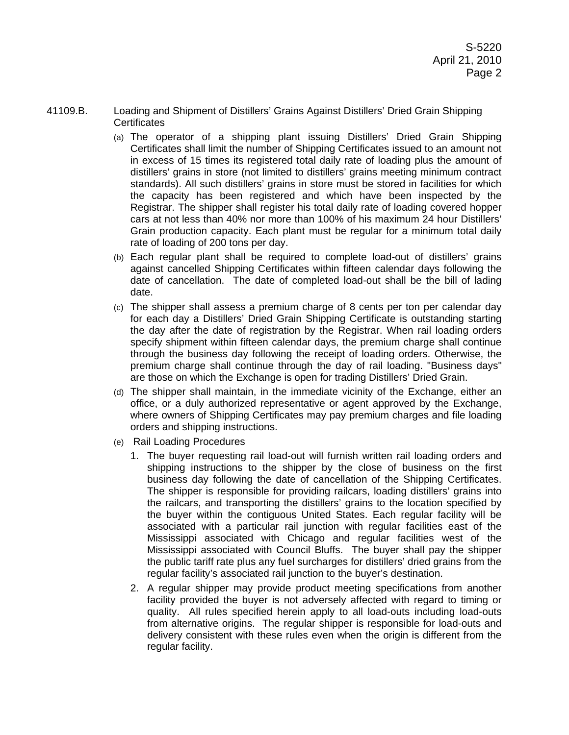- 41109.B. Loading and Shipment of Distillers' Grains Against Distillers' Dried Grain Shipping **Certificates** 
	- (a) The operator of a shipping plant issuing Distillers' Dried Grain Shipping Certificates shall limit the number of Shipping Certificates issued to an amount not in excess of 15 times its registered total daily rate of loading plus the amount of distillers' grains in store (not limited to distillers' grains meeting minimum contract standards). All such distillers' grains in store must be stored in facilities for which the capacity has been registered and which have been inspected by the Registrar. The shipper shall register his total daily rate of loading covered hopper cars at not less than 40% nor more than 100% of his maximum 24 hour Distillers' Grain production capacity. Each plant must be regular for a minimum total daily rate of loading of 200 tons per day.
	- (b) Each regular plant shall be required to complete load-out of distillers' grains against cancelled Shipping Certificates within fifteen calendar days following the date of cancellation. The date of completed load-out shall be the bill of lading date.
	- (c) The shipper shall assess a premium charge of 8 cents per ton per calendar day for each day a Distillers' Dried Grain Shipping Certificate is outstanding starting the day after the date of registration by the Registrar. When rail loading orders specify shipment within fifteen calendar days, the premium charge shall continue through the business day following the receipt of loading orders. Otherwise, the premium charge shall continue through the day of rail loading. "Business days" are those on which the Exchange is open for trading Distillers' Dried Grain.
	- (d) The shipper shall maintain, in the immediate vicinity of the Exchange, either an office, or a duly authorized representative or agent approved by the Exchange, where owners of Shipping Certificates may pay premium charges and file loading orders and shipping instructions.
	- (e) Rail Loading Procedures
		- 1. The buyer requesting rail load-out will furnish written rail loading orders and shipping instructions to the shipper by the close of business on the first business day following the date of cancellation of the Shipping Certificates. The shipper is responsible for providing railcars, loading distillers' grains into the railcars, and transporting the distillers' grains to the location specified by the buyer within the contiguous United States. Each regular facility will be associated with a particular rail junction with regular facilities east of the Mississippi associated with Chicago and regular facilities west of the Mississippi associated with Council Bluffs. The buyer shall pay the shipper the public tariff rate plus any fuel surcharges for distillers' dried grains from the regular facility's associated rail junction to the buyer's destination.
		- 2. A regular shipper may provide product meeting specifications from another facility provided the buyer is not adversely affected with regard to timing or quality. All rules specified herein apply to all load-outs including load-outs from alternative origins. The regular shipper is responsible for load-outs and delivery consistent with these rules even when the origin is different from the regular facility.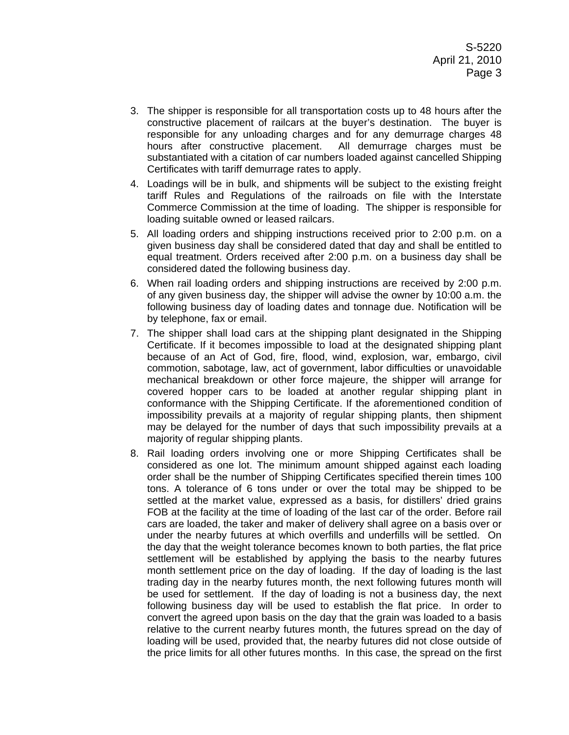- 3. The shipper is responsible for all transportation costs up to 48 hours after the constructive placement of railcars at the buyer's destination. The buyer is responsible for any unloading charges and for any demurrage charges 48 hours after constructive placement. All demurrage charges must be substantiated with a citation of car numbers loaded against cancelled Shipping Certificates with tariff demurrage rates to apply.
- 4. Loadings will be in bulk, and shipments will be subject to the existing freight tariff Rules and Regulations of the railroads on file with the Interstate Commerce Commission at the time of loading. The shipper is responsible for loading suitable owned or leased railcars.
- 5. All loading orders and shipping instructions received prior to 2:00 p.m. on a given business day shall be considered dated that day and shall be entitled to equal treatment. Orders received after 2:00 p.m. on a business day shall be considered dated the following business day.
- 6. When rail loading orders and shipping instructions are received by 2:00 p.m. of any given business day, the shipper will advise the owner by 10:00 a.m. the following business day of loading dates and tonnage due. Notification will be by telephone, fax or email.
- 7. The shipper shall load cars at the shipping plant designated in the Shipping Certificate. If it becomes impossible to load at the designated shipping plant because of an Act of God, fire, flood, wind, explosion, war, embargo, civil commotion, sabotage, law, act of government, labor difficulties or unavoidable mechanical breakdown or other force majeure, the shipper will arrange for covered hopper cars to be loaded at another regular shipping plant in conformance with the Shipping Certificate. If the aforementioned condition of impossibility prevails at a majority of regular shipping plants, then shipment may be delayed for the number of days that such impossibility prevails at a majority of regular shipping plants.
- 8. Rail loading orders involving one or more Shipping Certificates shall be considered as one lot. The minimum amount shipped against each loading order shall be the number of Shipping Certificates specified therein times 100 tons. A tolerance of 6 tons under or over the total may be shipped to be settled at the market value, expressed as a basis, for distillers' dried grains FOB at the facility at the time of loading of the last car of the order. Before rail cars are loaded, the taker and maker of delivery shall agree on a basis over or under the nearby futures at which overfills and underfills will be settled. On the day that the weight tolerance becomes known to both parties, the flat price settlement will be established by applying the basis to the nearby futures month settlement price on the day of loading. If the day of loading is the last trading day in the nearby futures month, the next following futures month will be used for settlement. If the day of loading is not a business day, the next following business day will be used to establish the flat price. In order to convert the agreed upon basis on the day that the grain was loaded to a basis relative to the current nearby futures month, the futures spread on the day of loading will be used, provided that, the nearby futures did not close outside of the price limits for all other futures months. In this case, the spread on the first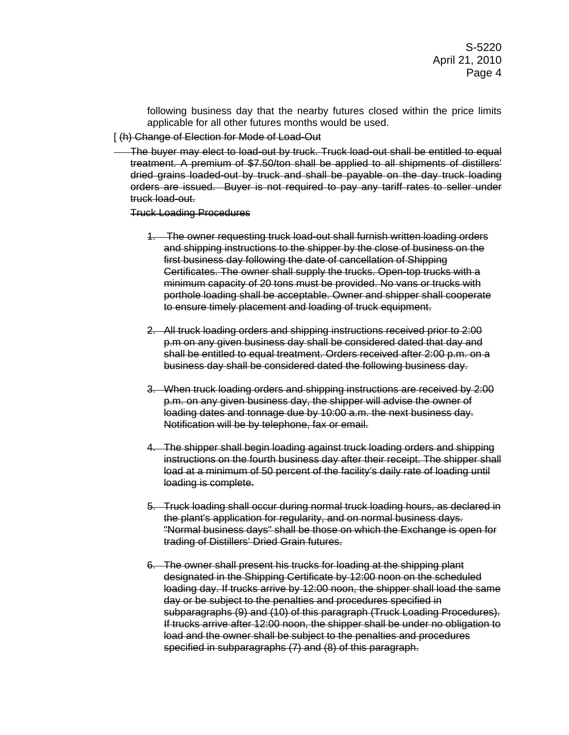following business day that the nearby futures closed within the price limits applicable for all other futures months would be used.

## [ (h) Change of Election for Mode of Load-Out

The buyer may elect to load-out by truck. Truck load-out shall be entitled to equal treatment. A premium of \$7.50/ton shall be applied to all shipments of distillers' dried grains loaded-out by truck and shall be payable on the day truck loading orders are issued. Buyer is not required to pay any tariff rates to seller under truck load-out.

## Truck Loading Procedures

- 1. The owner requesting truck load-out shall furnish written loading orders and shipping instructions to the shipper by the close of business on the first business day following the date of cancellation of Shipping Certificates. The owner shall supply the trucks. Open-top trucks with a minimum capacity of 20 tons must be provided. No vans or trucks with porthole loading shall be acceptable. Owner and shipper shall cooperate to ensure timely placement and loading of truck equipment.
- 2. All truck loading orders and shipping instructions received prior to 2:00 p.m on any given business day shall be considered dated that day and shall be entitled to equal treatment. Orders received after 2:00 p.m. on a business day shall be considered dated the following business day.
- 3. When truck loading orders and shipping instructions are received by 2:00 p.m. on any given business day, the shipper will advise the owner of loading dates and tonnage due by 10:00 a.m. the next business day. Notification will be by telephone, fax or email.
- 4. The shipper shall begin loading against truck loading orders and shipping instructions on the fourth business day after their receipt. The shipper shall load at a minimum of 50 percent of the facility's daily rate of loading until loading is complete.
- 5. Truck loading shall occur during normal truck loading hours, as declared in the plant's application for regularity, and on normal business days. "Normal business days" shall be those on which the Exchange is open for trading of Distillers' Dried Grain futures.
- 6. The owner shall present his trucks for loading at the shipping plant designated in the Shipping Certificate by 12:00 noon on the scheduled loading day. If trucks arrive by 12:00 noon, the shipper shall load the same day or be subject to the penalties and procedures specified in subparagraphs (9) and (10) of this paragraph (Truck Loading Procedures). If trucks arrive after 12:00 noon, the shipper shall be under no obligation to load and the owner shall be subject to the penalties and procedures specified in subparagraphs (7) and (8) of this paragraph.